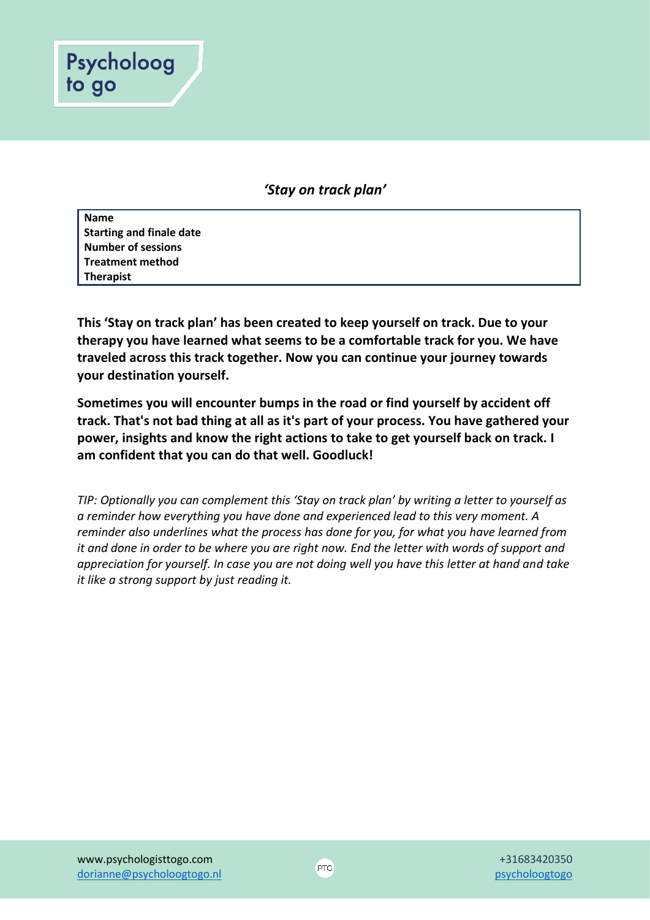

*'Stay on track plan'*

**Name Starting and finale date Number of sessions Treatment method Therapist** 

**This 'Stay on track plan' has been created to keep yourself on track. Due to your therapy you have learned what seems to be a comfortable track for you. We have traveled across this track together. Now you can continue your journey towards your destination yourself.** 

**Sometimes you will encounter bumps in the road or find yourself by accident off track. That's not bad thing at all as it's part of your process. You have gathered your power, insights and know the right actions to take to get yourself back on track. I am confident that you can do that well. Goodluck!**

*TIP: Optionally you can complement this 'Stay on track plan' by writing a letter to yourself as a reminder how everything you have done and experienced lead to this very moment. A reminder also underlines what the process has done for you, for what you have learned from it and done in order to be where you are right now. End the letter with words of support and appreciation for yourself. In case you are not doing well you have this letter at hand and take it like a strong support by just reading it.*